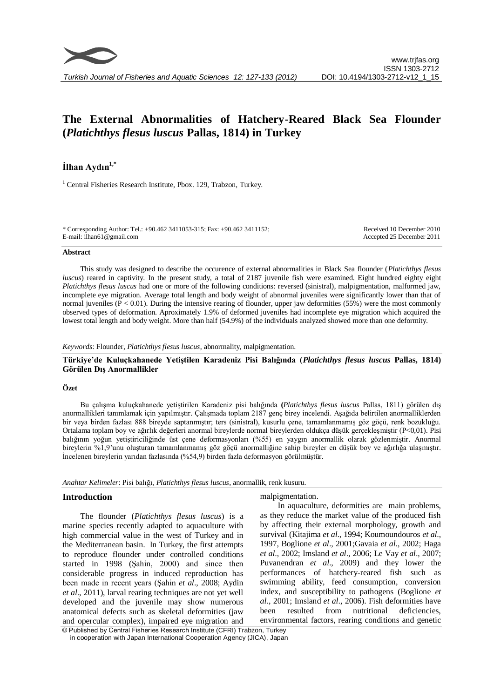

# **The External Abnormalities of Hatchery-Reared Black Sea Flounder (***Platichthys flesus luscus* **Pallas, 1814) in Turkey**

# **İlhan Aydın1,\***

<sup>1</sup> Central Fisheries Research Institute, Pbox. 129, Trabzon, Turkey.

| * Corresponding Author: Tel.: +90.462 3411053-315; Fax: +90.462 3411152; | Received 10 December 2010 |
|--------------------------------------------------------------------------|---------------------------|
| E-mail: ilhan61@gmail.com                                                | Accepted 25 December 2011 |

#### **Abstract**

This study was designed to describe the occurence of external abnormalities in Black Sea flounder (*Platichthys flesus luscus*) reared in captivity. In the present study, a total of 2187 juvenile fish were examined. Eight hundred eighty eight *Platichthys flesus luscus* had one or more of the following conditions: reversed (sinistral), malpigmentation, malformed jaw, incomplete eye migration. Average total length and body weight of abnormal juveniles were significantly lower than that of normal juveniles ( $P < 0.01$ ). During the intensive rearing of flounder, upper jaw deformities (55%) were the most commonly observed types of deformation. Aproximately 1.9% of deformed juveniles had incomplete eye migration which acquired the lowest total length and body weight. More than half (54.9%) of the individuals analyzed showed more than one deformity.

*Keywords*: Flounder, *Platichthys flesus luscus*, abnormality, malpigmentation.

# **Türkiye'de Kuluçkahanede Yetiştilen Karadeniz Pisi Balığında (***Platichthys flesus luscus* **Pallas, 1814) Görülen Dış Anormallikler**

#### **Özet**

Bu çalışma kuluçkahanede yetiştirilen Karadeniz pisi balığında **(***Platichthys flesus luscus* Pallas, 1811) görülen dış anormallikleri tanımlamak için yapılmıştır. Çalışmada toplam 2187 genç birey incelendi. Aşağıda belirtilen anormalliklerden bir veya birden fazlası 888 bireyde saptanmıştır; ters (sinistral), kusurlu çene, tamamlanmamış göz göçü, renk bozukluğu. Ortalama toplam boy ve ağırlık değerleri anormal bireylerde normal bireylerden oldukça düşük gerçekleşmiştir (P<0,01). Pisi balığının yoğun yetiştiriciliğinde üst çene deformasyonları (%55) en yaygın anormallik olarak gözlenmiştir. Anormal bireylerin %1,9'unu oluşturan tamamlanmamış göz göçü anormalliğine sahip bireyler en düşük boy ve ağırlığa ulaşmıştır. İncelenen bireylerin yarıdan fazlasında (%54,9) birden fazla deformasyon görülmüştür.

*Anahtar Kelimeler*: Pisi balığı, *Platichthys flesus luscus*, anormallik, renk kusuru.

## **Introduction**

The flounder (*Platichthys flesus luscus*) is a marine species recently adapted to aquaculture with high commercial value in the west of Turkey and in the Mediterranean basin. In Turkey, the first attempts to reproduce flounder under controlled conditions started in 1998 (Şahin, 2000) and since then considerable progress in induced reproduction has been made in recent years (Şahin *et al*., 2008; Aydin *et al*., 2011), larval rearing techniques are not yet well developed and the juvenile may show numerous anatomical defects such as skeletal deformities (jaw and opercular complex), impaired eye migration and malpigmentation.

In aquaculture, deformities are main problems, as they reduce the market value of the produced fish by affecting their external morphology, growth and survival (Kitajima *et al*., 1994; Koumoundouros *et al*., 1997, Boglione *et al*., 2001;Gavaia *et al*., 2002; Haga *et al*., 2002; Imsland *et al*., 2006; Le Vay *et al*., 2007; Puvanendran *et al*., 2009) and they lower the performances of hatchery-reared fish such as swimming ability, feed consumption, conversion index, and susceptibility to pathogens (Boglione *et al*., 2001; Imsland *et al*., 2006). Fish deformities have been resulted from nutritional deficiencies, environmental factors, rearing conditions and genetic

<sup>©</sup> Published by Central Fisheries Research Institute (CFRI) Trabzon, Turkey in cooperation with Japan International Cooperation Agency (JICA), Japan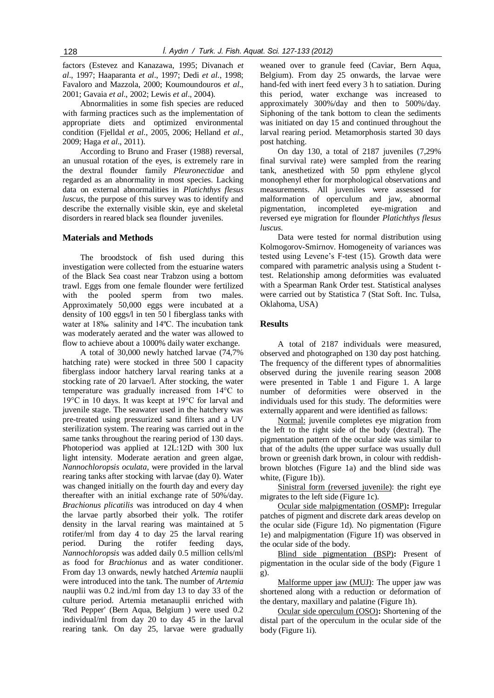factors (Estevez and Kanazawa, 1995; Divanach *et al*., 1997; Haaparanta *et al*., 1997; Dedi *et al*., 1998; Favaloro and Mazzola, 2000; Koumoundouros *et al*., 2001; Gavaia *et al*., 2002; Lewis *et al*., 2004).

Abnormalities in some fish species are reduced with farming practices such as the implementation of appropriate diets and optimized environmental condition (Fjelldal *et al*., 2005, 2006; Helland *et al*., 2009; Haga *et al*., 2011).

According to Bruno and Fraser (1988) reversal, an unusual rotation of the eyes, is extremely rare in the dextral flounder family *Pleuronectidae* and regarded as an abnormality in most species. Lacking data on external abnormalities in *Platichthys flesus luscus*, the purpose of this survey was to identify and describe the externally visible skin, eye and skeletal disorders in reared black sea flounder juveniles.

#### **Materials and Methods**

The broodstock of fish used during this investigation were collected from the estuarine waters of the Black Sea coast near Trabzon using a bottom trawl. Eggs from one female flounder were fertilized with the pooled sperm from two males. Approximately 50,000 eggs were incubated at a density of 100 eggs/l in ten 50 l fiberglass tanks with water at 18‰ salinity and 14ºC. The incubation tank was moderately aerated and the water was allowed to flow to achieve about a 1000% daily water exchange.

A total of 30,000 newly hatched larvae (74,7% hatching rate) were stocked in three 500 l capacity fiberglass indoor hatchery larval rearing tanks at a stocking rate of 20 larvae/l. After stocking, the water temperature was gradually increased from 14°C to 19°C in 10 days. It was keept at 19°C for larval and juvenile stage. The seawater used in the hatchery was pre-treated using pressurized sand filters and a UV sterilization system. The rearing was carried out in the same tanks throughout the rearing period of 130 days. Photoperiod was applied at 12L:12D with 300 lux light intensity. Moderate aeration and green algae, *Nannochloropsis oculata*, were provided in the larval rearing tanks after stocking with larvae (day 0). Water was changed initially on the fourth day and every day thereafter with an initial exchange rate of 50%/day. *Brachionus plicatilis* was introduced on day 4 when the larvae partly absorbed their yolk. The rotifer density in the larval rearing was maintained at 5 rotifer/ml from day 4 to day 25 the larval rearing period. During the rotifer feeding days, *Nannochloropsis* was added daily 0.5 million cells/ml as food for *Brachionus* and as water conditioner. From day 13 onwards, newly hatched *Artemia* nauplii were introduced into the tank. The number of *Artemia* nauplii was 0.2 ind./ml from day 13 to day 33 of the culture period. Artemia metanauplii enriched with 'Red Pepper' (Bern Aqua, Belgium ) were used 0.2 individual/ml from day 20 to day 45 in the larval rearing tank. On day 25, larvae were gradually weaned over to granule feed (Caviar, Bern Aqua, Belgium). From day 25 onwards, the larvae were hand-fed with inert feed every 3 h to satiation. During this period, water exchange was increased to approximately 300%/day and then to 500%/day. Siphoning of the tank bottom to clean the sediments was initiated on day 15 and continued throughout the larval rearing period. Metamorphosis started 30 days post hatching.

On day 130, a total of 2187 juveniles (7,29% final survival rate) were sampled from the rearing tank, anesthetized with 50 ppm ethylene glycol monophenyl ether for morphological observations and measurements. All juveniles were assessed for malformation of operculum and jaw, abnormal pigmentation, incompleted eye-migration and reversed eye migration for flounder *Platichthys flesus luscus.*

Data were tested for normal distribution using Kolmogorov-Smirnov. Homogeneity of variances was tested using Levene's F-test (15). Growth data were compared with parametric analysis using a Student ttest. Relationship among deformities was evaluated with a Spearman Rank Order test. Statistical analyses were carried out by Statistica 7 (Stat Soft. Inc. Tulsa, Oklahoma, USA)

# **Results**

A total of 2187 individuals were measured, observed and photographed on 130 day post hatching. The frequency of the different types of abnormalities observed during the juvenile rearing season 2008 were presented in Table 1 and Figure 1. A large number of deformities were observed in the individuals used for this study. The deformities were externally apparent and were identified as fallows:

Normal: juvenile completes eye migration from the left to the right side of the body (dextral). The pigmentation pattern of the ocular side was similar to that of the adults (the upper surface was usually dull brown or greenish dark brown, in colour with reddishbrown blotches (Figure 1a) and the blind side was white, (Figure 1b)).

Sinistral form (reversed juvenile): the right eye migrates to the left side (Figure 1c).

Ocular side malpigmentation (OSMP)**:** Irregular patches of pigment and discrete dark areas develop on the ocular side (Figure 1d). No pigmentation (Figure 1e) and malpigmentation (Figure 1f) was observed in the ocular side of the body.

Blind side pigmentation (BSP)**:** Present of pigmentation in the ocular side of the body (Figure 1 g).

Malforme upper jaw (MUJ): The upper jaw was shortened along with a reduction or deformation of the dentary, maxillary and palatine (Figure 1h).

Ocular side operculum (OSO)**:** Shortening of the distal part of the operculum in the ocular side of the body (Figure 1i).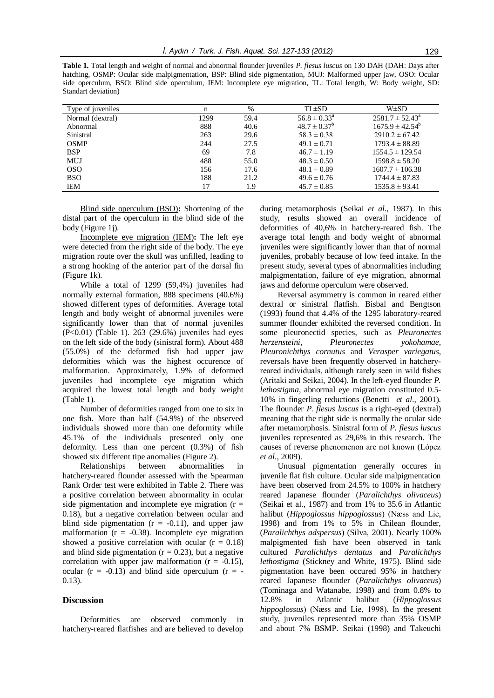**Table 1.** Total length and weight of normal and abnormal flounder juveniles *P. flesus luscus* on 130 DAH (DAH: Days after hatching, OSMP: Ocular side malpigmentation, BSP: Blind side pigmentation, MUJ: Malformed upper jaw, OSO: Ocular side operculum, BSO: Blind side operculum, IEM: Incomplete eye migration, TL: Total length, W: Body weight, SD: Standart deviation)

| Type of juveniles | n    | %    | $TL \pm SD$             | $W\pm SD$                  |  |
|-------------------|------|------|-------------------------|----------------------------|--|
| Normal (dextral)  | 1299 | 59.4 | $56.8 \pm 0.33^{\circ}$ | $2581.7 \pm 52.43^{\circ}$ |  |
| Abnormal          | 888  | 40.6 | $48.7 \pm 0.37^b$       | $1675.9 \pm 42.54^b$       |  |
| Sinistral         | 263  | 29.6 | $58.3 \pm 0.38$         | $2910.2 \pm 67.42$         |  |
| <b>OSMP</b>       | 244  | 27.5 | $49.1 \pm 0.71$         | $1793.4 \pm 88.89$         |  |
| <b>BSP</b>        | 69   | 7.8  | $46.7 \pm 1.19$         | $1554.5 \pm 129.54$        |  |
| MUJ               | 488  | 55.0 | $48.3 \pm 0.50$         | $1598.8 \pm 58.20$         |  |
| <sub>OSO</sub>    | 156  | 17.6 | $48.1 \pm 0.89$         | $1607.7 \pm 106.38$        |  |
| <b>BSO</b>        | 188  | 21.2 | $49.6 \pm 0.76$         | $1744.4 \pm 87.83$         |  |
| ΙEΜ               | 17   | 1.9  | $45.7 \pm 0.85$         | $1535.8 \pm 93.41$         |  |

Blind side operculum (BSO)**:** Shortening of the distal part of the operculum in the blind side of the body (Figure 1*j*).

Incomplete eye migration (IEM)**:** The left eye were detected from the right side of the body. The eye migration route over the skull was unfilled, leading to a strong hooking of the anterior part of the dorsal fin (Figure 1k).

While a total of 1299 (59,4%) juveniles had normally external formation, 888 specimens (40.6%) showed different types of deformities. Average total length and body weight of abnormal juveniles were significantly lower than that of normal juveniles (P<0.01) (Table 1). 263 (29.6%) juveniles had eyes on the left side of the body (sinistral form). About 488 (55.0%) of the deformed fish had upper jaw deformities which was the highest occurence of malformation. Approximately, 1.9% of deformed juveniles had incomplete eye migration which acquired the lowest total length and body weight (Table 1).

Number of deformities ranged from one to six in one fish. More than half (54.9%) of the observed individuals showed more than one deformity while 45.1% of the individuals presented only one deformity. Less than one percent (0.3%) of fish showed six different tipe anomalies (Figure 2).

Relationships between abnormalities in hatchery-reared flounder assessed with the Spearman Rank Order test were exhibited in Table 2. There was a positive correlation between abnormality in ocular side pigmentation and incomplete eye migration  $(r =$ 0.18), but a negative correlation between ocular and blind side pigmentation  $(r = -0.11)$ , and upper jaw malformation  $(r = -0.38)$ . Incomplete eye migration showed a positive correlation with ocular  $(r = 0.18)$ and blind side pigmentation ( $r = 0.23$ ), but a negative correlation with upper jaw malformation  $(r = -0.15)$ , ocular ( $r = -0.13$ ) and blind side operculum ( $r = -1$ 0.13).

#### **Discussion**

Deformities are observed commonly in hatchery-reared flatfishes and are believed to develop

during metamorphosis (Seikai *et al*., 1987). In this study, results showed an overall incidence of deformities of 40,6% in hatchery-reared fish. The average total length and body weight of abnormal juveniles were significantly lower than that of normal juveniles, probably because of low feed intake. In the present study, several types of abnormalities including malpigmentation, failure of eye migration, abnormal jaws and deforme operculum were observed.

Reversal asymmetry is common in reared either dextral or sinistral flatfish. Bisbal and Bengtson (1993) found that 4.4% of the 1295 laboratory-reared summer flounder exhibited the reversed condition. In some pleuronectid species, such as *Pleuronectes herzensteini*, *Pleuronectes yokohamae*, *Pleuronichthys cornutus* and *Verasper variegatus*, reversals have been frequently observed in hatcheryreared individuals, although rarely seen in wild fishes (Aritaki and Seikai, 2004). In the left-eyed flounder *P. lethostigma*, abnormal eye migration constituted 0.5- 10% in fingerling reductions (Benetti *et al*., 2001). The flounder *P. flesus luscus* is a right-eyed (dextral) meaning that the right side is normally the ocular side after metamorphosis. Sinistral form of *P. flesus luscus* juveniles represented as 29,6% in this research. The causes of reverse phenomenon are not known (López *et al*., 2009).

Unusual pigmentation generally occures in juvenile flat fish culture. Ocular side malpigmentation have been observed from 24.5% to 100% in hatchery reared Japanese flounder (*Paralichthys olivaceus*) (Seikai et al., 1987) and from 1% to 35.6 in Atlantic halibut (*Hippoglossus hippoglossus*) (Næss and Lie, 1998) and from 1% to 5% in Chilean flounder, (*Paralichthys adspersus*) (Silva, 2001). Nearly 100% malpigmented fish have been observed in tank cultured *Paralichthys dentatus* and *Paralichthys lethostigma* (Stickney and White, 1975). Blind side pigmentation have been occured 95% in hatchery reared Japanese flounder (*Paralichthys olivaceus*) (Tominaga and Watanabe, 1998) and from 0.8% to 12.8% in Atlantic halibut (*Hippoglossus hippoglossus*) (Næss and Lie, 1998). In the present study, juveniles represented more than 35% OSMP and about 7% BSMP. Seikai (1998) and Takeuchi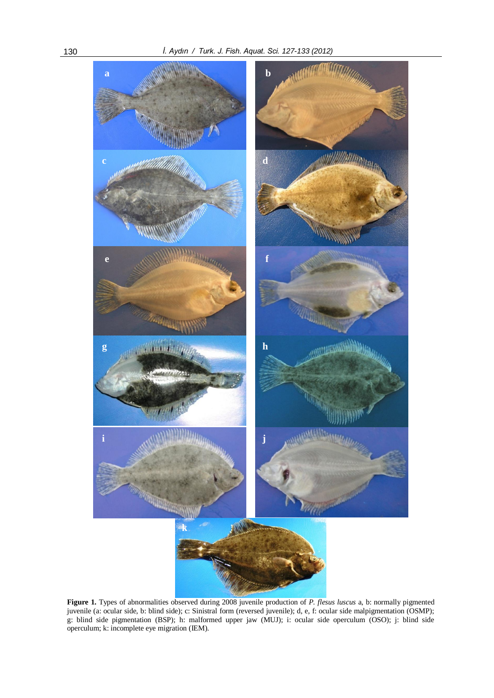

**Figure 1.** Types of abnormalities observed during 2008 juvenile production of *P. flesus luscus* a, b: normally pigmented juvenile (a: ocular side, b: blind side); c: Sinistral form (reversed juvenile); d, e, f: ocular side malpigmentation (OSMP); g: blind side pigmentation (BSP); h: malformed upper jaw (MUJ); i: ocular side operculum (OSO); j: blind side operculum; k: incomplete eye migration (IEM).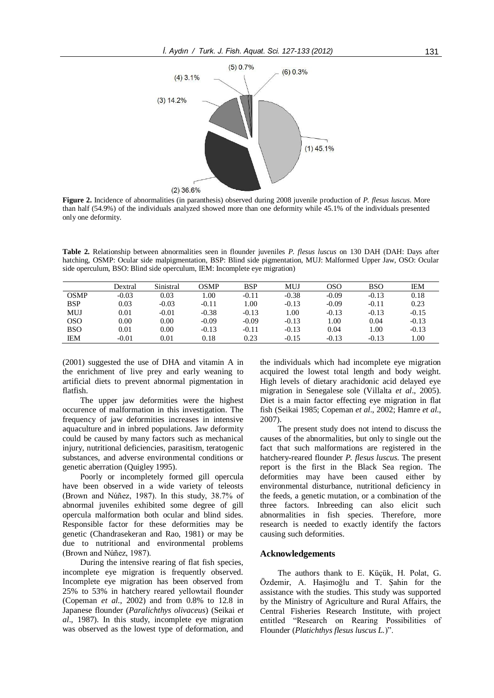

**Figure 2.** Incidence of abnormalities (in paranthesis) observed during 2008 juvenile production of *P. flesus luscus*. More than half (54.9%) of the individuals analyzed showed more than one deformity while 45.1% of the individuals presented only one deformity.

**Table 2.** Relationship between abnormalities seen in flounder juveniles *P. flesus luscus* on 130 DAH (DAH: Days after hatching, OSMP: Ocular side malpigmentation, BSP: Blind side pigmentation, MUJ: Malformed Upper Jaw, OSO: Ocular side operculum, BSO: Blind side operculum, IEM: Incomplete eye migration)

|             | Dextral | Sinistral | OSMP    | <b>BSP</b> | MUJ     | OSO     | <b>BSO</b> | ΙEΜ     |
|-------------|---------|-----------|---------|------------|---------|---------|------------|---------|
| <b>OSMP</b> | $-0.03$ | 0.03      | 0.00    | $-0.11$    | $-0.38$ | $-0.09$ | $-0.13$    | 0.18    |
| BSP         | 0.03    | $-0.03$   | $-0.11$ | .00.       | $-0.13$ | $-0.09$ | $-0.11$    | 0.23    |
| <b>MUJ</b>  | 0.01    | $-0.01$   | $-0.38$ | $-0.13$    | 1.00    | $-0.13$ | $-0.13$    | $-0.15$ |
| <b>OSO</b>  | 0.00    | 0.00      | $-0.09$ | $-0.09$    | $-0.13$ | 1.00    | 0.04       | $-0.13$ |
| <b>BSO</b>  | 0.01    | 0.00      | $-0.13$ | $-0.11$    | $-0.13$ | 0.04    | 1.00       | $-0.13$ |
| <b>IEM</b>  | $-0.01$ | $0.01\,$  | 0.18    | 0.23       | $-0.15$ | $-0.13$ | $-0.13$    | 0.01    |

(2001) suggested the use of DHA and vitamin A in the enrichment of live prey and early weaning to artificial diets to prevent abnormal pigmentation in flatfish.

The upper jaw deformities were the highest occurence of malformation in this investigation. The frequency of jaw deformities increases in intensive aquaculture and in inbred populations. Jaw deformity could be caused by many factors such as mechanical injury, nutritional deficiencies, parasitism, teratogenic substances, and adverse environmental conditions or genetic aberration (Quigley 1995).

Poorly or incompletely formed gill opercula have been observed in a wide variety of teleosts (Brown and Núñez, 1987). In this study, 38.7% of abnormal juveniles exhibited some degree of gill opercula malformation both ocular and blind sides. Responsible factor for these deformities may be genetic (Chandrasekeran and Rao, 1981) or may be due to nutritional and environmental problems (Brown and Núñez, 1987).

During the intensive rearing of flat fish species, incomplete eye migration is frequently observed. Incomplete eye migration has been observed from 25% to 53% in hatchery reared yellowtail flounder (Copeman *et al*., 2002) and from 0.8% to 12.8 in Japanese flounder (*Paralichthys olivaceus*) (Seikai *et al*., 1987). In this study, incomplete eye migration was observed as the lowest type of deformation, and the individuals which had incomplete eye migration acquired the lowest total length and body weight. High levels of dietary arachidonic acid delayed eye migration in Senegalese sole (Villalta *et al*., 2005). Diet is a main factor effecting eye migration in flat fish (Seikai 1985; Copeman *et al*., 2002; Hamre *et al*., 2007).

The present study does not intend to discuss the causes of the abnormalities, but only to single out the fact that such malformations are registered in the hatchery-reared flounder *P. flesus luscus*. The present report is the first in the Black Sea region. The deformities may have been caused either by environmental disturbance, nutritional deficiency in the feeds, a genetic mutation, or a combination of the three factors. Inbreeding can also elicit such abnormalities in fish species. Therefore, more research is needed to exactly identify the factors causing such deformities.

## **Acknowledgements**

The authors thank to E. Küçük, H. Polat, G. Özdemir, A. Haşimoğlu and T. Şahin for the assistance with the studies. This study was supported by the Ministry of Agriculture and Rural Affairs, the Central Fisheries Research Institute, with project entitled "Research on Rearing Possibilities of Flounder (*Platichthys flesus luscus L.*)".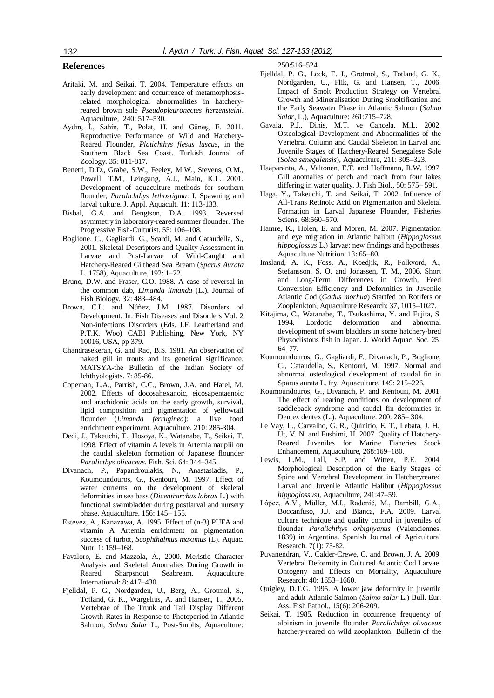# **References**

- Aritaki, M. and Seikai, T. 2004. Temperature effects on early development and occurrence of metamorphosisrelated morphological abnormalities in hatcheryreared brown sole *Pseudopleuronectes herzensteini*. Aquaculture, 240: 517–530.
- Aydın, İ., Şahin, T., Polat, H. and Güneş, E. 2011. Reproductive Performance of Wild and Hatchery-Reared Flounder, *Platichthys flesus luscus*, in the Southern Black Sea Coast. Turkish Journal of Zoology. 35: 811-817.
- Benetti, D.D., Grabe, S.W., Feeley, M.W., Stevens, O.M., Powell, T.M., Leingang, A.J., Main, K.L. 2001. Development of aquaculture methods for southern flounder, *Paralichthys lethostigma*: I. Spawning and larval culture. J. Appl. Aquacult. 11: 113-133.
- Bisbal, G.A. and Bengtson, D.A. 1993. Reversed asymmetry in laboratory-reared summer flounder. The Progressive Fish-Culturist. 55: 106–108.
- Boglione, C., Gagliardi, G., Scardi, M. and Cataudella, S., 2001. Skeletal Descriptors and Quality Assessment in Larvae and Post-Larvae of Wild-Caught and Hatchery-Reared Gilthead Sea Bream (*Sparus Aurata* L. 1758), Aquaculture, 192: 1–22.
- Bruno, D.W. and Fraser, C.O. 1988. A case of reversal in the common dab, *Limanda limanda* (L.). Journal of Fish Biology. 32: 483–484.
- Brown, C.L. and Núñez, J.M. 1987. Disorders od Development. In: Fish Diseases and Disorders Vol. 2 Non-infections Disorders (Eds. J.F. Leatherland and P.T.K. Woo) CABI Publishing, New York, NY 10016, USA, pp 379.
- Chandrasekeran, G. and Rao, B.S. 1981. An observation of naked gill in trouts and its genetical significance. MATSYA-the Bulletin of the Indian Society of Ichthyologists. 7: 85-86.
- Copeman, L.A., Parrish, C.C., Brown, J.A. and Harel, M. 2002. Effects of docosahexanoic, eicosapentaenoic and arachidonic acids on the early growth, survival, lipid composition and pigmentation of yellowtail flounder (*Limanda ferruginea*): a live food enrichment experiment. Aquaculture. 210: 285-304.
- Dedi, J., Takeuchi, T., Hosoya, K., Watanabe, T., Seikai, T. 1998. Effect of vitamin A levels in Artemia nauplii on the caudal skeleton formation of Japanese flounder *Paralicthys olivaceus*. Fish. Sci. 64: 344–345.
- Divanach, P., Papandroulakis, N., Anastasiadis, P., Koumoundouros, G., Kentouri, M. 1997. Effect of water currents on the development of skeletal deformities in sea bass (*Dicentrarchus labrax* L.) with functional swimbladder during postlarval and nursery phase. Aquaculture. 156: 145– 155.
- Estevez, A., Kanazawa, A. 1995. Effect of (n-3) PUFA and vitamin A Artemia enrichment on pigmentation success of turbot, *Scophthalmus maximus* (L). Aquac. Nutr. 1: 159–168.
- Favaloro, E. and Mazzola, A., 2000. Meristic Character Analysis and Skeletal Anomalies During Growth in Reared Sharpsnout Seabream. Aquaculture International: 8: 417–430.
- Fjelldal, P. G., Nordgarden, U., Berg, A., Grotmol, S., Totland, G. K., Wargelius, A. and Hansen, T., 2005. Vertebrae of The Trunk and Tail Display Different Growth Rates in Response to Photoperiod in Atlantic Salmon, *Salmo Salar* L., Post-Smolts, Aquaculture:

250:516–524.

- Fjelldal, P. G., Lock, E. J., Grotmol, S., Totland, G. K., Nordgarden, U., Flik, G. and Hansen, T., 2006. Impact of Smolt Production Strategy on Vertebral Growth and Mineralisation During Smoltification and the Early Seawater Phase in Atlantic Salmon (*Salmo Salar*, L.), Aquaculture: 261:715–728.
- Gavaia, P.J., Dinis, M.T. ve Cancela, M.L. 2002. Osteological Development and Abnormalities of the Vertebral Column and Caudal Skeleton in Larval and Juvenile Stages of Hatchery-Reared Senegalese Sole (*Solea senegalensis*), Aquaculture, 211: 305–323.
- Haaparanta, A., Valtonen, E.T. and Hoffmann, R.W. 1997. Gill anomalies of perch and roach from four lakes differing in water quality. J. Fish Biol., 50: 575– 591.
- Haga, Y., Takeuchi, T. and Seikai, T. 2002. Influence of All-Trans Retinoic Acid on Pigmentation and Skeletal Formation in Larval Japanese Flounder, Fisheries Sciens, 68:560–570.
- Hamre, K., Holen, E. and Moren, M. 2007. Pigmentation and eye migration in Atlantic halibut (*Hippoglossus hippoglossus* L.) larvae: new findings and hypotheses. Aquaculture Nutrition. 13: 65–80.
- Imsland, A. K., Foss, A., Koedjik, R., Folkvord, A., Stefansson, S. O. and Jonassen, T. M., 2006. Short and Long-Term Differences in Growth, Feed Conversion Efficiency and Deformities in Juvenile Atlantic Cod (*Gadus morhua*) Startfed on Rotifers or Zooplankton, Aquaculture Research: 37, 1015–1027.
- Kitajima, C., Watanabe, T., Tsukashima, Y. and Fujita, S. 1994. Lordotic deformation and abnormal development of swim bladders in some hatchery-bred Physoclistous fish in Japan. J. World Aquac. Soc. 25: 64–77.
- Koumoundouros, G., Gagliardi, F., Divanach, P., Boglione, C., Cataudella, S., Kentouri, M. 1997. Normal and abnormal osteological development of caudal fin in Sparus aurata L. fry. Aquaculture. 149: 215–226.
- Koumoundouros, G., Divanach, P. and Kentouri, M. 2001. The effect of rearing conditions on development of saddleback syndrome and caudal fin deformities in Dentex dentex (L.). Aquaculture. 200: 285– 304.
- Le Vay, L., Carvalho, G. R., Quinitio, E. T., Lebata, J. H., Ut, V. N. and Fushimi, H. 2007. Quality of Hatchery-Reared Juveniles for Marine Fisheries Stock Enhancement, Aquaculture, 268:169–180.
- Lewis, L.M., Lall, S.P. and Witten, P.E. 2004. Morphological Description of the Early Stages of Spine and Vertebral Development in Hatcheryreared Larval and Juvenile Atlantic Halibut (*Hippoglossus hippoglossus*), Aquaculture, 241:47–59.
- López, A.V., Müller, M.I., Radonić, M., Bambill, G.A., Boccanfuso, J.J. and Bianca, F.A. 2009. Larval culture technique and quality control in juveniles of flounder *Paralichthys orbignyanus* (Valenciennes, 1839) in Argentina. Spanish Journal of Agricultural Research. 7(1): 75-82.
- Puvanendran, V., Calder-Crewe, C. and Brown, J. A. 2009. Vertebral Deformity in Cultured Atlantic Cod Larvae: Ontogeny and Effects on Mortality, Aquaculture Research: 40: 1653–1660.
- Quigley, D.T.G. 1995. A lower jaw deformity in juvenile and adult Atlantic Salmon (*Salmo salar* L.) Bull. Eur. Ass. Fish Pathol., 15(6): 206-209.
- Seikai, T. 1985. Reduction in occurrence frequency of albinism in juvenile flounder *Paralichthys olivaceus*  hatchery-reared on wild zooplankton. Bulletin of the